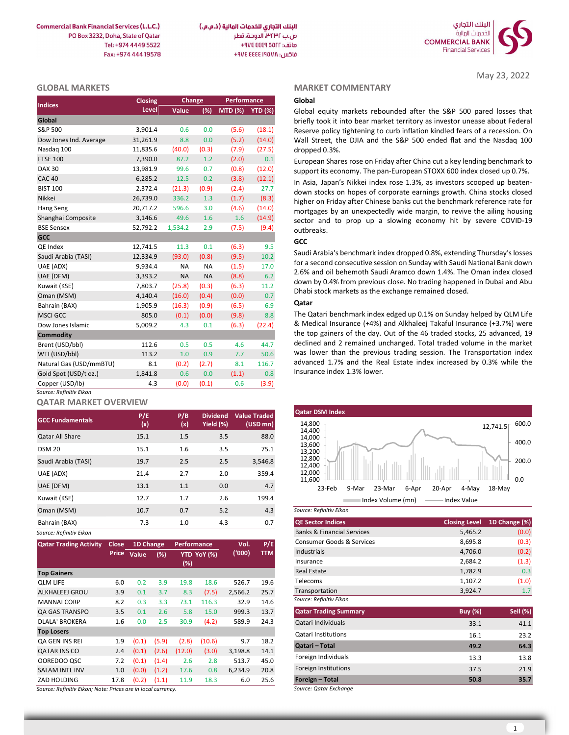**Commercial Bank Financial Services (L.L.C.)** PO Box 3232, Doha, State of Qatar Tel: +974 4449 5522 Fax: +974 444 19578



### GLOBAL MARKETS

| <b>Indices</b>          | Closing  | Change    |           | <b>Performance</b> |        |
|-------------------------|----------|-----------|-----------|--------------------|--------|
|                         | Level    | Value     | (%)       | MTD (%) YTD (%)    |        |
| Global                  |          |           |           |                    |        |
| S&P 500                 | 3,901.4  | 0.6       | 0.0       | (5.6)              | (18.1) |
| Dow Jones Ind. Average  | 31,261.9 | 8.8       | 0.0       | (5.2)              | (14.0) |
| Nasdaq 100              | 11,835.6 | (40.0)    | (0.3)     | (7.9)              | (27.5) |
| <b>FTSE 100</b>         | 7,390.0  | 87.2      | 1.2       | (2.0)              | 0.1    |
| <b>DAX 30</b>           | 13,981.9 | 99.6      | 0.7       | (0.8)              | (12.0) |
| <b>CAC 40</b>           | 6,285.2  | 12.5      | 0.2       | (3.8)              | (12.1) |
| <b>BIST 100</b>         | 2,372.4  | (21.3)    | (0.9)     | (2.4)              | 27.7   |
| Nikkei                  | 26,739.0 | 336.2     | 1.3       | (1.7)              | (8.3)  |
| Hang Seng               | 20,717.2 | 596.6     | 3.0       | (4.6)              | (14.0) |
| Shanghai Composite      | 3,146.6  | 49.6      | 1.6       | 1.6                | (14.9) |
| <b>BSE Sensex</b>       | 52,792.2 | 1,534.2   | 2.9       | (7.5)              | (9.4)  |
| GCC                     |          |           |           |                    |        |
| QE Index                | 12,741.5 | 11.3      | 0.1       | (6.3)              | 9.5    |
| Saudi Arabia (TASI)     | 12,334.9 | (93.0)    | (0.8)     | (9.5)              | 10.2   |
| UAE (ADX)               | 9,934.4  | <b>NA</b> | <b>NA</b> | (1.5)              | 17.0   |
| UAE (DFM)               | 3,393.2  | <b>NA</b> | <b>NA</b> | (8.8)              | 6.2    |
| Kuwait (KSE)            | 7,803.7  | (25.8)    | (0.3)     | (6.3)              | 11.2   |
| Oman (MSM)              | 4,140.4  | (16.0)    | (0.4)     | (0.0)              | 0.7    |
| Bahrain (BAX)           | 1,905.9  | (16.3)    | (0.9)     | (6.5)              | 6.9    |
| <b>MSCI GCC</b>         | 805.0    | (0.1)     | (0.0)     | (9.8)              | 8.8    |
| Dow Jones Islamic       | 5,009.2  | 4.3       | 0.1       | (6.3)              | (22.4) |
| <b>Commodity</b>        |          |           |           |                    |        |
| Brent (USD/bbl)         | 112.6    | 0.5       | 0.5       | 4.6                | 44.7   |
| WTI (USD/bbl)           | 113.2    | 1.0       | 0.9       | 7.7                | 50.6   |
| Natural Gas (USD/mmBTU) | 8.1      | (0.2)     | (2.7)     | 8.1                | 116.7  |
| Gold Spot (USD/t oz.)   | 1,841.8  | 0.6       | 0.0       | (1.1)              | 0.8    |
| Copper (USD/lb)         | 4.3      | (0.0)     | (0.1)     | 0.6                | (3.9)  |
| Source: Refinitiv Eikon |          |           |           |                    |        |

## QATAR MARKET OVERVIEW

| <b>GCC Fundamentals</b> | P/E<br>(x) | P/B<br>(x) | <b>Dividend</b><br>Yield (%) | <b>Value Traded</b><br>$(USD$ mn $)$ | <b>Qatar DSM Index</b><br>14,800<br>12,741.5                               |
|-------------------------|------------|------------|------------------------------|--------------------------------------|----------------------------------------------------------------------------|
| <b>Qatar All Share</b>  | 15.1       | 1.5        | 3.5                          | 88.0                                 | 14,400<br>14,000                                                           |
| <b>DSM 20</b>           | 15.1       | 1.6        | 3.5                          | 75.1                                 | 13,600<br>13,200                                                           |
| Saudi Arabia (TASI)     | 19.7       | 2.5        | 2.5                          | 3,546.8                              | 12,800<br>12,400                                                           |
| UAE (ADX)               | 21.4       | 2.7        | 2.0                          | 359.4                                | 12,000                                                                     |
| UAE (DFM)               | 13.1       | 1.1        | 0.0                          | 4.7                                  | 11,600<br>23-Feb<br>23-Mar<br>6-Apr<br>20-Apr<br>4-May<br>$18-Ma$<br>9-Mar |
| Kuwait (KSE)            | 12.7       | 1.7        | 2.6                          | 199.4                                | Index Volume (mn)<br>Index Value                                           |
| Oman (MSM)              | 10.7       | 0.7        | 5.2                          | 4.3                                  | Source: Refinitiv Eikon                                                    |
| Bahrain (BAX)           | 7.3        | 1.0        | 4.3                          | 0.7                                  | <b>QE Sector Indices</b><br>1D <sub>Ch</sub><br><b>Closing Level</b>       |
| Source: Refinitiv Fikon |            |            |                              |                                      | 5.465.2<br><b>Banks &amp; Financial Services</b>                           |

| <b>Qatar Trading Activity</b> | Close | 1D Change   |       | <b>Performance</b> |             | Vol.    | P/E  |
|-------------------------------|-------|-------------|-------|--------------------|-------------|---------|------|
|                               |       | Price Value | (%)   |                    | YTD YoY (%) | (1000)  | TTM  |
|                               |       |             |       | (%)                |             |         |      |
| <b>Top Gainers</b>            |       |             |       |                    |             |         |      |
| <b>OLM LIFE</b>               | 6.0   | 0.2         | 3.9   | 19.8               | 18.6        | 526.7   | 19.6 |
| ALKHALEEJ GROU                | 3.9   | 0.1         | 3.7   | 8.3                | (7.5)       | 2,566.2 | 25.7 |
| <b>MANNAI CORP</b>            | 8.2   | 0.3         | 3.3   | 73.1               | 116.3       | 32.9    | 14.6 |
| QA GAS TRANSPO                | 3.5   | 0.1         | 2.6   | 5.8                | 15.0        | 999.3   | 13.7 |
| <b>DLALA' BROKERA</b>         | 1.6   | 0.0         | 2.5   | 30.9               | (4.2)       | 589.9   | 24.3 |
| <b>Top Losers</b>             |       |             |       |                    |             |         |      |
| <b>QA GEN INS REI</b>         | 1.9   | (0.1)       | (5.9) | (2.8)              | (10.6)      | 9.7     | 18.2 |
| <b>QATAR INS CO</b>           | 2.4   | (0.1)       | (2.6) | (12.0)             | (3.0)       | 3,198.8 | 14.1 |
| OOREDOO QSC                   | 7.2   | (0.1)       | (1.4) | 2.6                | 2.8         | 513.7   | 45.0 |
| <b>SALAM INTL INV</b>         | 1.0   | (0.0)       | (1.2) | 17.6               | 0.8         | 6,234.9 | 20.8 |
| ZAD HOLDING                   | 17.8  | (0.2)       | (1.1) | 11.9               | 18.3        | 6.0     | 25.6 |
|                               |       |             |       |                    |             |         |      |

Source: Refinitiv Eikon; Note: Prices are in local currency.

### MARKET COMMENTARY

May 23, 2022

# GCC

#### Qatar



| Source: Refinitiv Eikon |  |
|-------------------------|--|
|                         |  |

| 7.3   |           | 1.0         |             | 4.3     | 0.7        | <b>QE Sector Indices</b>              | <b>Closing Level</b> | 1D Change (%)   |
|-------|-----------|-------------|-------------|---------|------------|---------------------------------------|----------------------|-----------------|
|       |           |             |             |         |            | <b>Banks &amp; Financial Services</b> | 5,465.2              | (0.0)           |
|       | 1D Change | Performance |             | Vol.    | P/E        | <b>Consumer Goods &amp; Services</b>  | 8,695.8              | (0.3)           |
| Value | (%)       |             | YTD YoY (%) | (000)   | <b>TTM</b> | Industrials                           | 4,706.0              | (0.2)           |
|       |           | (%)         |             |         |            | Insurance                             | 2,684.2              | (1.3)           |
|       |           |             |             |         |            | <b>Real Estate</b>                    | 1,782.9              | 0.3             |
| 0.2   | 3.9       | 19.8        | 18.6        | 526.7   | 19.6       | Telecoms                              | 1,107.2              | (1.0)           |
| 0.1   | 3.7       | 8.3         | (7.5)       | 2,566.2 | 25.7       | Transportation                        | 3,924.7              | 1.7             |
| 0.3   | 3.3       | 73.1        | 116.3       | 32.9    | 14.6       | Source: Refinitiv Eikon               |                      |                 |
| 0.1   | 2.6       | 5.8         | 15.0        | 999.3   | 13.7       | <b>Qatar Trading Summary</b>          | <b>Buy (%)</b>       | <b>Sell</b> (%) |
| 0.0   | 2.5       | 30.9        | (4.2)       | 589.9   | 24.3       | Qatari Individuals                    | 33.1                 | 41.1            |
|       |           |             |             |         |            | Qatari Institutions                   | 16.1                 | 23.2            |
| (0.1) | (5.9)     | (2.8)       | (10.6)      | 9.7     | 18.2       | Qatari - Total                        | 49.2                 | 64.3            |
| (0.1) | (2.6)     | (12.0)      | (3.0)       | 3,198.8 | 14.1       |                                       |                      |                 |
| (0.1) | (1.4)     | 2.6         | 2.8         | 513.7   | 45.0       | Foreign Individuals                   | 13.3                 | 13.8            |
| (0.0) | (1.2)     | 17.6        | 0.8         | 6,234.9 | 20.8       | Foreign Institutions                  | 37.5                 | 21.9            |
| (0.2) | (1.1)     | 11.9        | 18.3        | 6.0     | 25.6       | Foreign - Total                       | 50.8                 | 35.7            |
|       |           |             |             |         |            | Course: Oetar Evehange                |                      |                 |

Source: Qatar Exchange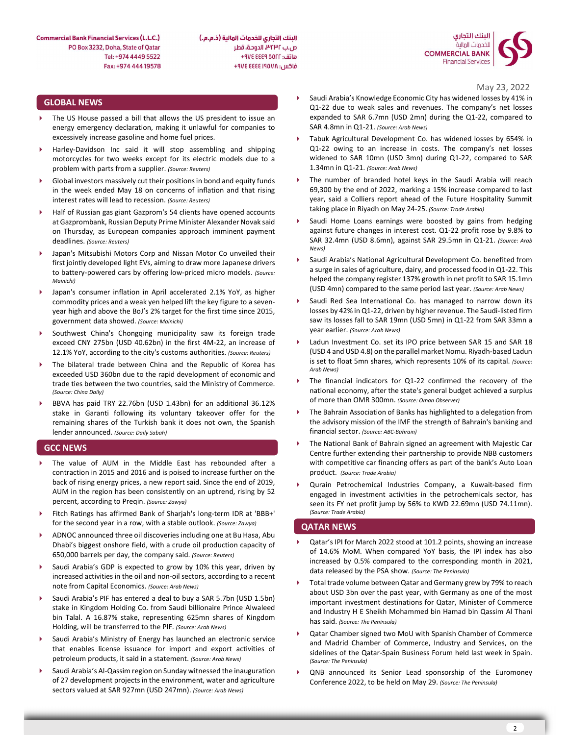البنك التجاري للخدمات المالية (ذ.م.م.) ص.ب ٣٢٣٢، الدوحة، قطر هاتف: AVE EEE 9 00FF+ فاكس: ۴۹۷٤ ٤٤٤٤ ٤٧٤ +

# GLOBAL NEWS

- The US House passed a bill that allows the US president to issue an energy emergency declaration, making it unlawful for companies to excessively increase gasoline and home fuel prices.
- Harley-Davidson Inc said it will stop assembling and shipping motorcycles for two weeks except for its electric models due to a problem with parts from a supplier. (Source: Reuters)
- Global investors massively cut their positions in bond and equity funds in the week ended May 18 on concerns of inflation and that rising interest rates will lead to recession. (Source: Reuters)
- Half of Russian gas giant Gazprom's 54 clients have opened accounts at Gazprombank, Russian Deputy Prime Minister Alexander Novak said on Thursday, as European companies approach imminent payment deadlines. (Source: Reuters)
- Japan's Mitsubishi Motors Corp and Nissan Motor Co unveiled their first jointly developed light EVs, aiming to draw more Japanese drivers to battery-powered cars by offering low-priced micro models. (Source: Mainichi)
- Japan's consumer inflation in April accelerated 2.1% YoY, as higher commodity prices and a weak yen helped lift the key figure to a sevenyear high and above the BoJ's 2% target for the first time since 2015, government data showed. (Source: Mainichi)
- Southwest China's Chongqing municipality saw its foreign trade exceed CNY 275bn (USD 40.62bn) in the first 4M-22, an increase of 12.1% YoY, according to the city's customs authorities. (Source: Reuters)
- The bilateral trade between China and the Republic of Korea has exceeded USD 360bn due to the rapid development of economic and<br>trade ties between the two countries said the Ministry of Commerce trade ties between the two countries, said the Ministry of Commerce. (Source: China Daily)
- BBVA has paid TRY 22.76bn (USD 1.43bn) for an additional 36.12% stake in Garanti following its voluntary takeover offer for the remaining shares of the Turkish bank it does not own, the Spanish lender announced. (Source: Daily Sabah)

### GCC NEWS

- The value of AUM in the Middle East has rebounded after a contraction in 2015 and 2016 and is poised to increase further on the back of rising energy prices, a new report said. Since the end of 2019, AUM in the region has been consistently on an uptrend, rising by 52 percent, according to Preqin. (Source: Zawya)
- Fitch Ratings has affirmed Bank of Sharjah's long-term IDR at 'BBB+' for the second year in a row, with a stable outlook. (Source: Zawya)
- ADNOC announced three oil discoveries including one at Bu Hasa, Abu Dhabi's biggest onshore field, with a crude oil production capacity of 650,000 barrels per day, the company said. (Source: Reuters)
- Saudi Arabia's GDP is expected to grow by 10% this year, driven by increased activities in the oil and non-oil sectors, according to a recent note from Capital Economics. (Source: Arab News)
- Saudi Arabia's PIF has entered a deal to buy a SAR 5.7bn (USD 1.5bn) stake in Kingdom Holding Co. from Saudi billionaire Prince Alwaleed bin Talal. A 16.87% stake, representing 625mn shares of Kingdom Holding, will be transferred to the PIF. (Source: Arab News)
- Saudi Arabia's Ministry of Energy has launched an electronic service that enables license issuance for import and export activities of petroleum products, it said in a statement. (Source: Arab News)
- Saudi Arabia's Al-Qassim region on Sunday witnessed the inauguration of 27 development projects in the environment, water and agriculture sectors valued at SAR 927mn (USD 247mn). (Source: Arab News)
- May 23, 2022 Saudi Arabia's Knowledge Economic City has widened losses by 41% in Q1-22 due to weak sales and revenues. The company's net losses expanded to SAR 6.7mn (USD 2mn) during the Q1-22, compared to SAR 4.8mn in Q1-21. (Source: Arab News)
	- Tabuk Agricultural Development Co. has widened losses by 654% in Q1-22 owing to an increase in costs. The company's net losses widened to SAR 10mn (USD 3mn) during Q1-22, compared to SAR 1.34mn in Q1-21. (Source: Arab News)
	- The number of branded hotel keys in the Saudi Arabia will reach 69,300 by the end of 2022, marking a 15% increase compared to last year, said a Colliers report ahead of the Future Hospitality Summit taking place in Riyadh on May 24-25. (Source: Trade Arabia)
	- Saudi Home Loans earnings were boosted by gains from hedging against future changes in interest cost. Q1-22 profit rose by 9.8% to SAR 32.4mn (USD 8.6mn), against SAR 29.5mn in Q1-21. (Source: Arab News)
	- Saudi Arabia's National Agricultural Development Co. benefited from a surge in sales of agriculture, dairy, and processed food in Q1-22. This helped the company register 137% growth in net profit to SAR 15.1mn (USD 4mn) compared to the same period last year. (Source: Arab News)
	- Saudi Red Sea International Co. has managed to narrow down its losses by 42% in Q1-22, driven by higher revenue. The Saudi-listed firm saw its losses fall to SAR 19mn (USD 5mn) in Q1-22 from SAR 33mn a year earlier. (Source: Arab News)
	- Ladun Investment Co. set its IPO price between SAR 15 and SAR 18 (USD 4 and USD 4.8) on the parallel market Nomu. Riyadh-based Ladun is set to float 5mn shares, which represents 10% of its capital. (Source: Arab News)
	- The financial indicators for Q1-22 confirmed the recovery of the national economy, after the state's general budget achieved a surplus of more than OMR 300mn. (Source: Oman Observer)
	- The Bahrain Association of Banks has highlighted to a delegation from the advisory mission of the IMF the strength of Bahrain's banking and financial sector. (Source: ABC-Bahrain)
	- The National Bank of Bahrain signed an agreement with Majestic Car Centre further extending their partnership to provide NBB customers with competitive car financing offers as part of the bank's Auto Loan product. (Source: Trade Arabia)
	- Qurain Petrochemical Industries Company, a Kuwait-based firm engaged in investment activities in the petrochemicals sector, has seen its FY net profit jump by 56% to KWD 22.69mn (USD 74.11mn). (Source: Trade Arabia)

### QATAR NEWS

- Qatar's IPI for March 2022 stood at 101.2 points, showing an increase of 14.6% MoM. When compared YoY basis, the IPI index has also increased by 0.5% compared to the corresponding month in 2021, data released by the PSA show. (Source: The Peninsula)
- Total trade volume between Qatar and Germany grew by 79% to reach about USD 3bn over the past year, with Germany as one of the most important investment destinations for Qatar, Minister of Commerce and Industry H E Sheikh Mohammed bin Hamad bin Qassim Al Thani has said. (Source: The Peninsula)
- Qatar Chamber signed two MoU with Spanish Chamber of Commerce and Madrid Chamber of Commerce, Industry and Services, on the sidelines of the Qatar-Spain Business Forum held last week in Spain. (Source: The Peninsula)
- QNB announced its Senior Lead sponsorship of the Euromoney Conference 2022, to be held on May 29. (Source: The Peninsula)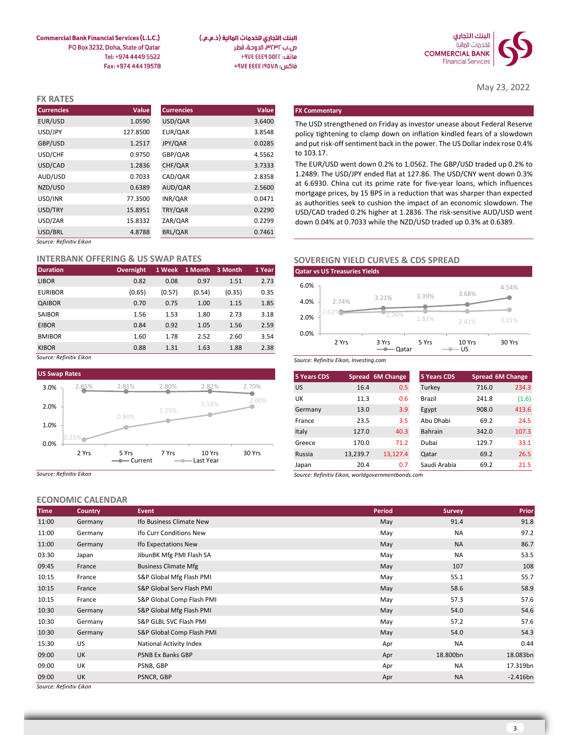

May 23, 2022

البنك التجاري للخدمات المالية (ذ.م.م.) ص.ب ٣٢٣٢، الدوحة، قطر هاتف: ٩٧٤ ٤٤٤٩ ٧٧٤ فاكس: ٩٧٤ ٤٤٤٤ ٤٧٤ +٩٧٤

**Commercial Bank Financial Services (L.L.C.)** PO Box 3232, Doha, State of Qatar Tel: +974 4449 5522 Fax: +974 444 19578

| <b>FX RATES</b>         |          |                   |        |                                                                                                                                                    |
|-------------------------|----------|-------------------|--------|----------------------------------------------------------------------------------------------------------------------------------------------------|
| <b>Currencies</b>       | Value    | <b>Currencies</b> | Value  | <b>FX Commentary</b>                                                                                                                               |
| EUR/USD                 | 1.0590   | USD/QAR           | 3.6400 | The USD strengthened on Friday as investor unease about Federal Reserve                                                                            |
| USD/JPY                 | 127.8500 | EUR/QAR           | 3.8548 | policy tightening to clamp down on inflation kindled fears of a slowdown                                                                           |
| GBP/USD                 | 1.2517   | JPY/QAR           | 0.0285 | and put risk-off sentiment back in the power. The US Dollar index rose 0.4%                                                                        |
| USD/CHF                 | 0.9750   | GBP/QAR           | 4.5562 | to 103.17.                                                                                                                                         |
| USD/CAD                 | 1.2836   | CHF/QAR           | 3.7333 | The EUR/USD went down 0.2% to 1.0562. The GBP/USD traded up 0.2% to                                                                                |
| AUD/USD                 | 0.7033   | CAD/QAR           | 2.8358 | 1.2489. The USD/JPY ended flat at 127.86. The USD/CNY went down 0.3%                                                                               |
| NZD/USD                 | 0.6389   | AUD/QAR           | 2.5600 | at 6.6930. China cut its prime rate for five-year loans, which influences                                                                          |
| USD/INR                 | 77.3500  | INR/QAR           | 0.0471 | mortgage prices, by 15 BPS in a reduction that was sharper than expected<br>as authorities seek to cushion the impact of an economic slowdown. The |
| USD/TRY                 | 15.8951  | TRY/QAR           | 0.2290 | USD/CAD traded 0.2% higher at 1.2836. The risk-sensitive AUD/USD went                                                                              |
| USD/ZAR                 | 15.8332  | ZAR/QAR           | 0.2299 | down 0.04% at 0.7033 while the NZD/USD traded up 0.3% at 0.6389.                                                                                   |
| USD/BRL                 | 4.8788   | BRL/QAR           | 0.7461 |                                                                                                                                                    |
| Source: Refinitiv Eikon |          |                   |        |                                                                                                                                                    |

#### INTERBANK OFFERING & US SWAP RATES

| <b>Duration</b> | <b>Overnight</b> |        | 1 Week 1 Month 3 Month |        | 1 Year |
|-----------------|------------------|--------|------------------------|--------|--------|
| <b>LIBOR</b>    | 0.82             | 0.08   | 0.97                   | 1.51   | 2.73   |
| <b>EURIBOR</b>  | (0.65)           | (0.57) | (0.54)                 | (0.35) | 0.35   |
| QAIBOR          | 0.70             | 0.75   | 1.00                   | 1.15   | 1.85   |
| <b>SAIBOR</b>   | 1.56             | 1.53   | 1.80                   | 2.73   | 3.18   |
| <b>EIBOR</b>    | 0.84             | 0.92   | 1.05                   | 1.56   | 2.59   |
| <b>BMIBOR</b>   | 1.60             | 1.78   | 2.52                   | 2.60   | 3.54   |
| <b>KIBOR</b>    | 0.88             | 1.31   | 1.63                   | 1.88   | 2.38   |

Source: Refinitiv Eikon



Source: Refinitiv Eikon

# ECONOMIC CALENDAR

|             | LCONOMIC CALLINDAN |                             |        |               |            |
|-------------|--------------------|-----------------------------|--------|---------------|------------|
| <b>Time</b> | Country            | Event                       | Period | <b>Survey</b> | Prior      |
| 11:00       | Germany            | Ifo Business Climate New    | May    | 91.4          | 91.8       |
| 11:00       | Germany            | Ifo Curr Conditions New     | May    | NA            | 97.2       |
| 11:00       | Germany            | Ifo Expectations New        | May    | <b>NA</b>     | 86.7       |
| 03:30       | Japan              | JibunBK Mfg PMI Flash SA    | May    | <b>NA</b>     | 53.5       |
| 09:45       | France             | <b>Business Climate Mfg</b> | May    | 107           | 108        |
| 10:15       | France             | S&P Global Mfg Flash PMI    | May    | 55.1          | 55.7       |
| 10:15       | France             | S&P Global Serv Flash PMI   | May    | 58.6          | 58.9       |
| 10:15       | France             | S&P Global Comp Flash PMI   | May    | 57.3          | 57.6       |
| 10:30       | Germany            | S&P Global Mfg Flash PMI    | May    | 54.0          | 54.6       |
| 10:30       | Germany            | S&P GLBL SVC Flash PMI      | May    | 57.2          | 57.6       |
| 10:30       | Germany            | S&P Global Comp Flash PMI   | May    | 54.0          | 54.3       |
| 15:30       | US                 | National Activity Index     | Apr    | <b>NA</b>     | 0.44       |
| 09:00       | <b>UK</b>          | PSNB Ex Banks GBP           | Apr    | 18.800bn      | 18.083bn   |
| 09:00       | UK                 | PSNB, GBP                   | Apr    | NA            | 17.319bn   |
| 09:00       | <b>UK</b>          | PSNCR, GBP                  | Apr    | <b>NA</b>     | $-2.416bn$ |

# SOVEREIGN YIELD CURVES & CDS SPREAD



|                    | 0.9750                                 | GBP/QAR                   |                        |        | 4.5562 | to 103.17.         |                                                                                                                                                       |                         |                |        |                  |
|--------------------|----------------------------------------|---------------------------|------------------------|--------|--------|--------------------|-------------------------------------------------------------------------------------------------------------------------------------------------------|-------------------------|----------------|--------|------------------|
|                    | 1.2836                                 | CHF/QAR                   |                        |        | 3.7333 |                    | The EUR/USD went down 0.2% to 1.0562. The GBP/USD traded up 0.2% to                                                                                   |                         |                |        |                  |
|                    | 0.7033                                 | CAD/QAR                   |                        |        | 2.8358 |                    | 1.2489. The USD/JPY ended flat at 127.86. The USD/CNY went down 0.3%                                                                                  |                         |                |        |                  |
|                    | 0.6389                                 | AUD/QAR                   |                        |        | 2.5600 |                    | at 6.6930. China cut its prime rate for five-year loans, which influences<br>mortgage prices, by 15 BPS in a reduction that was sharper than expected |                         |                |        |                  |
|                    | 77.3500                                | INR/QAR                   |                        |        | 0.0471 |                    | as authorities seek to cushion the impact of an economic slowdown. The                                                                                |                         |                |        |                  |
|                    | 15.8951                                | TRY/QAR                   |                        |        | 0.2290 |                    | USD/CAD traded 0.2% higher at 1.2836. The risk-sensitive AUD/USD went                                                                                 |                         |                |        |                  |
|                    | 15.8332                                | ZAR/QAR                   |                        |        | 0.2299 |                    | down 0.04% at 0.7033 while the NZD/USD traded up 0.3% at 0.6389.                                                                                      |                         |                |        |                  |
|                    | 4.8788                                 | BRL/QAR                   |                        |        | 0.7461 |                    |                                                                                                                                                       |                         |                |        |                  |
| <sup>,</sup> Eikon |                                        |                           |                        |        |        |                    |                                                                                                                                                       |                         |                |        |                  |
|                    | <b>IK OFFERING &amp; US SWAP RATES</b> |                           |                        |        |        |                    | <b>SOVEREIGN YIELD CURVES &amp; CDS SPREAD</b>                                                                                                        |                         |                |        |                  |
|                    | <b>Overnight</b>                       |                           | 1 Week 1 Month 3 Month |        | 1 Year |                    | <b>Qatar vs US Treasuries Yields</b>                                                                                                                  |                         |                |        |                  |
|                    | 0.82                                   | 0.08                      | 0.97                   | 1.51   | 2.73   | 6.0%               |                                                                                                                                                       |                         |                |        |                  |
|                    | (0.65)                                 | (0.57)                    | (0.54)                 | (0.35) | 0.35   |                    |                                                                                                                                                       | 3.21%                   | 3.39%          | 3.68%  | 4.54%            |
|                    | 0.70                                   | 0.75                      | 1.00                   | 1.15   | 1.85   | 4.0%               | 2.74%                                                                                                                                                 |                         |                |        |                  |
|                    | 1.56                                   | 1.53                      | 1.80                   | 2.73   | 3.18   | 2.0%               | .62                                                                                                                                                   | 2.76%                   | 2.83%          |        | 3.01%            |
|                    | 0.84                                   | 0.92                      | 1.05                   | 1.56   | 2.59   |                    |                                                                                                                                                       |                         |                | 2.81%  |                  |
|                    | 1.60                                   | 1.78                      | 2.52                   | 2.60   | 3.54   | 0.0%               | 2 Yrs                                                                                                                                                 | 3 Yrs                   | 5 Yrs          | 10 Yrs | 30 Yrs           |
|                    | 0.88                                   | 1.31                      | 1.63                   | 1.88   | 2.38   |                    |                                                                                                                                                       | $\longrightarrow Qatar$ | $-$ US         |        |                  |
| Eikon              |                                        |                           |                        |        |        |                    | Source: Refinitiv Eikon, Investing.com                                                                                                                |                         |                |        |                  |
| es                 |                                        |                           |                        |        |        | <b>5 Years CDS</b> |                                                                                                                                                       | Spread 6M Change        | 5 Years CDS    |        | Spread 6M Change |
| 2.85%              | 2.81%                                  | 2.80%                     | 2.82%                  |        | 2.70%  | <b>US</b>          | 16.4                                                                                                                                                  | 0.5                     | Turkey         | 716.0  | 234.3            |
|                    |                                        |                           |                        |        | 2.00%  | UK                 | 11.3                                                                                                                                                  | 0.6                     | Brazil         | 241.8  | (1.6)            |
|                    |                                        | 1.25%                     | 1.58%                  |        |        | Germany            | 13.0                                                                                                                                                  | 3.9                     | Egypt          | 908.0  | 413.6            |
|                    | 0.90%                                  |                           |                        |        |        | France             | 23.5                                                                                                                                                  | 3.5                     | Abu Dhabi      | 69.2   | 24.5             |
|                    |                                        |                           |                        |        |        | Italy              | 127.0                                                                                                                                                 | 40.3                    | <b>Bahrain</b> | 342.0  | 107.3            |
|                    |                                        |                           |                        |        |        | Greece             | 170.0                                                                                                                                                 | 71.2                    | Dubai          | 129.7  | 33.1             |
| 2 Yrs              | 5 Yrs                                  | 7 Yrs                     | 10 Yrs                 |        | 30 Yrs | Russia             | 13,239.7                                                                                                                                              | 13,127.4                | Qatar          | 69.2   | 26.5             |
|                    |                                        |                           | - Last Year            |        |        | Japan              | 20.4                                                                                                                                                  | 0.7                     | Saudi Arabia   | 69.2   | 21.5             |
| Eikon              |                                        |                           |                        |        |        |                    | Source: Refinitiv Eikon, worldgovernmentbonds.com                                                                                                     |                         |                |        |                  |
|                    |                                        |                           |                        |        |        |                    |                                                                                                                                                       |                         |                |        |                  |
| <b>IC CALENDAR</b> |                                        |                           |                        |        |        |                    |                                                                                                                                                       |                         |                |        |                  |
| Country            | <b>Event</b>                           |                           |                        |        |        |                    |                                                                                                                                                       | <b>Period</b>           | <b>Survey</b>  |        | Prior            |
|                    |                                        | If a Ducings Climinate No |                        |        |        |                    |                                                                                                                                                       |                         | 011            |        | 010              |